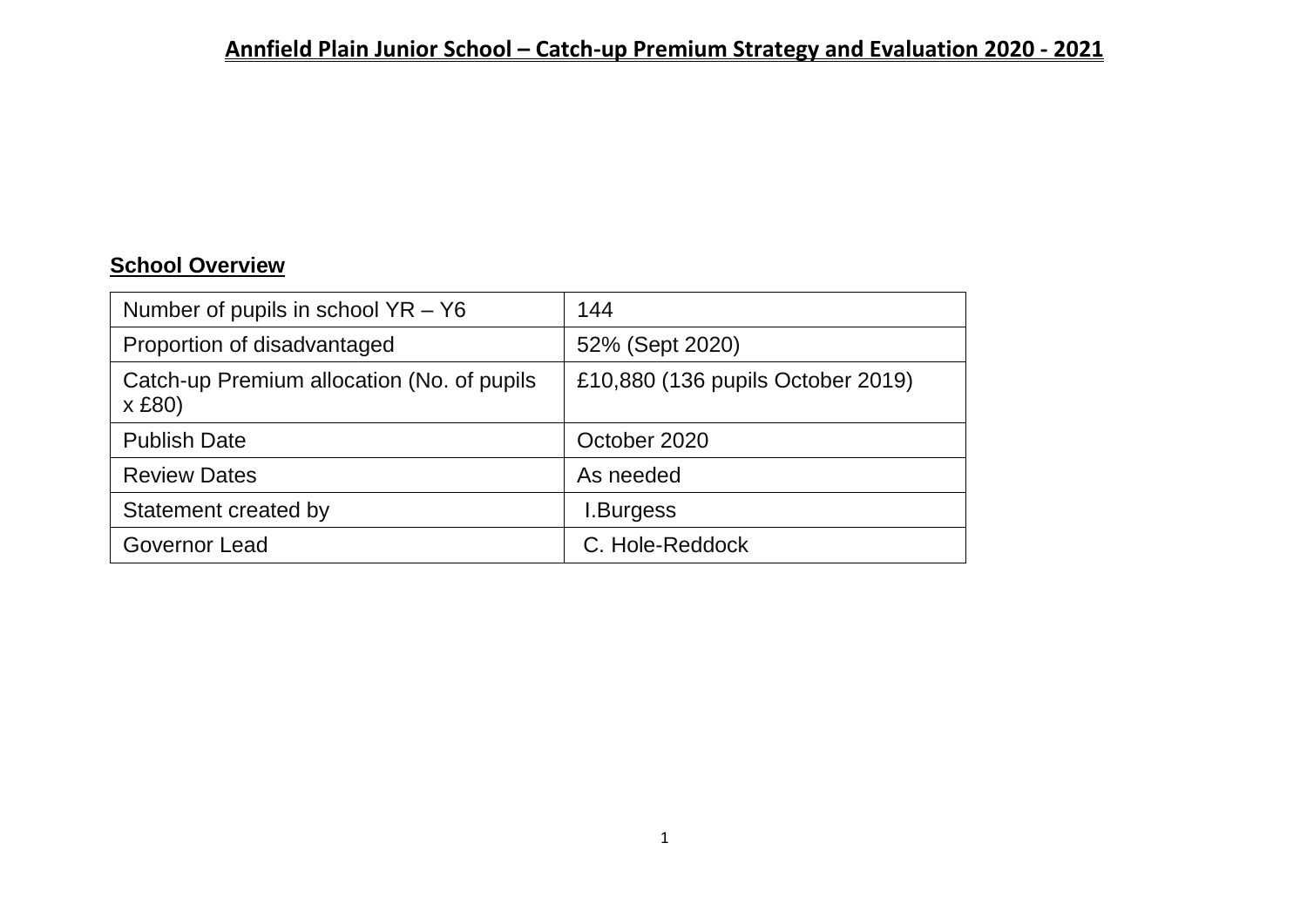# **School Overview**

| Number of pupils in school $YR - Y6$                 | 144                               |
|------------------------------------------------------|-----------------------------------|
| Proportion of disadvantaged                          | 52% (Sept 2020)                   |
| Catch-up Premium allocation (No. of pupils<br>x £80) | £10,880 (136 pupils October 2019) |
| <b>Publish Date</b>                                  | October 2020                      |
| <b>Review Dates</b>                                  | As needed                         |
| Statement created by                                 | <b>I.Burgess</b>                  |
| Governor Lead                                        | C. Hole-Reddock                   |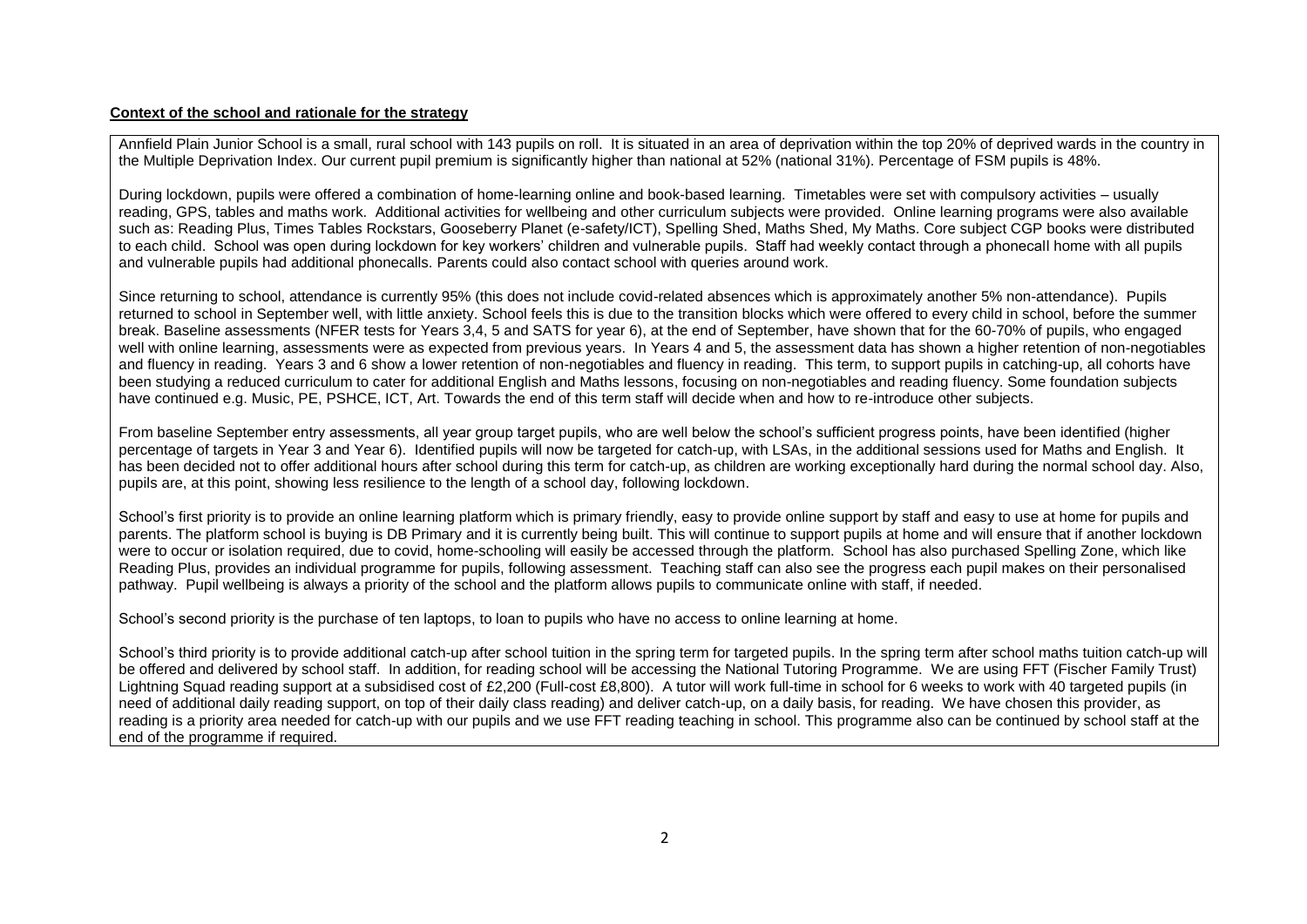#### **Context of the school and rationale for the strategy**

Annfield Plain Junior School is a small, rural school with 143 pupils on roll. It is situated in an area of deprivation within the top 20% of deprived wards in the country in the Multiple Deprivation Index. Our current pupil premium is significantly higher than national at 52% (national 31%). Percentage of FSM pupils is 48%.

During lockdown, pupils were offered a combination of home-learning online and book-based learning. Timetables were set with compulsory activities – usually reading, GPS, tables and maths work. Additional activities for wellbeing and other curriculum subjects were provided. Online learning programs were also available such as: Reading Plus, Times Tables Rockstars, Gooseberry Planet (e-safety/ICT), Spelling Shed, Maths Shed, My Maths. Core subject CGP books were distributed to each child. School was open during lockdown for key workers' children and vulnerable pupils. Staff had weekly contact through a phonecall home with all pupils and vulnerable pupils had additional phonecalls. Parents could also contact school with queries around work.

Since returning to school, attendance is currently 95% (this does not include covid-related absences which is approximately another 5% non-attendance). Pupils returned to school in September well, with little anxiety. School feels this is due to the transition blocks which were offered to every child in school, before the summer break. Baseline assessments (NFER tests for Years 3,4, 5 and SATS for year 6), at the end of September, have shown that for the 60-70% of pupils, who engaged well with online learning, assessments were as expected from previous years. In Years 4 and 5, the assessment data has shown a higher retention of non-negotiables and fluency in reading. Years 3 and 6 show a lower retention of non-negotiables and fluency in reading. This term, to support pupils in catching-up, all cohorts have been studying a reduced curriculum to cater for additional English and Maths lessons, focusing on non-negotiables and reading fluency. Some foundation subjects have continued e.g. Music, PE, PSHCE, ICT, Art. Towards the end of this term staff will decide when and how to re-introduce other subjects.

From baseline September entry assessments, all year group target pupils, who are well below the school's sufficient progress points, have been identified (higher percentage of targets in Year 3 and Year 6). Identified pupils will now be targeted for catch-up, with LSAs, in the additional sessions used for Maths and English. It has been decided not to offer additional hours after school during this term for catch-up, as children are working exceptionally hard during the normal school day. Also, pupils are, at this point, showing less resilience to the length of a school day, following lockdown.

School's first priority is to provide an online learning platform which is primary friendly, easy to provide online support by staff and easy to use at home for pupils and parents. The platform school is buying is DB Primary and it is currently being built. This will continue to support pupils at home and will ensure that if another lockdown were to occur or isolation required, due to covid, home-schooling will easily be accessed through the platform. School has also purchased Spelling Zone, which like Reading Plus, provides an individual programme for pupils, following assessment. Teaching staff can also see the progress each pupil makes on their personalised pathway. Pupil wellbeing is always a priority of the school and the platform allows pupils to communicate online with staff, if needed.

School's second priority is the purchase of ten laptops, to loan to pupils who have no access to online learning at home.

School's third priority is to provide additional catch-up after school tuition in the spring term for targeted pupils. In the spring term after school maths tuition catch-up will be offered and delivered by school staff. In addition, for reading school will be accessing the National Tutoring Programme. We are using FFT (Fischer Family Trust) Lightning Squad reading support at a subsidised cost of £2,200 (Full-cost £8,800). A tutor will work full-time in school for 6 weeks to work with 40 targeted pupils (in need of additional daily reading support, on top of their daily class reading) and deliver catch-up, on a daily basis, for reading. We have chosen this provider, as reading is a priority area needed for catch-up with our pupils and we use FFT reading teaching in school. This programme also can be continued by school staff at the end of the programme if required.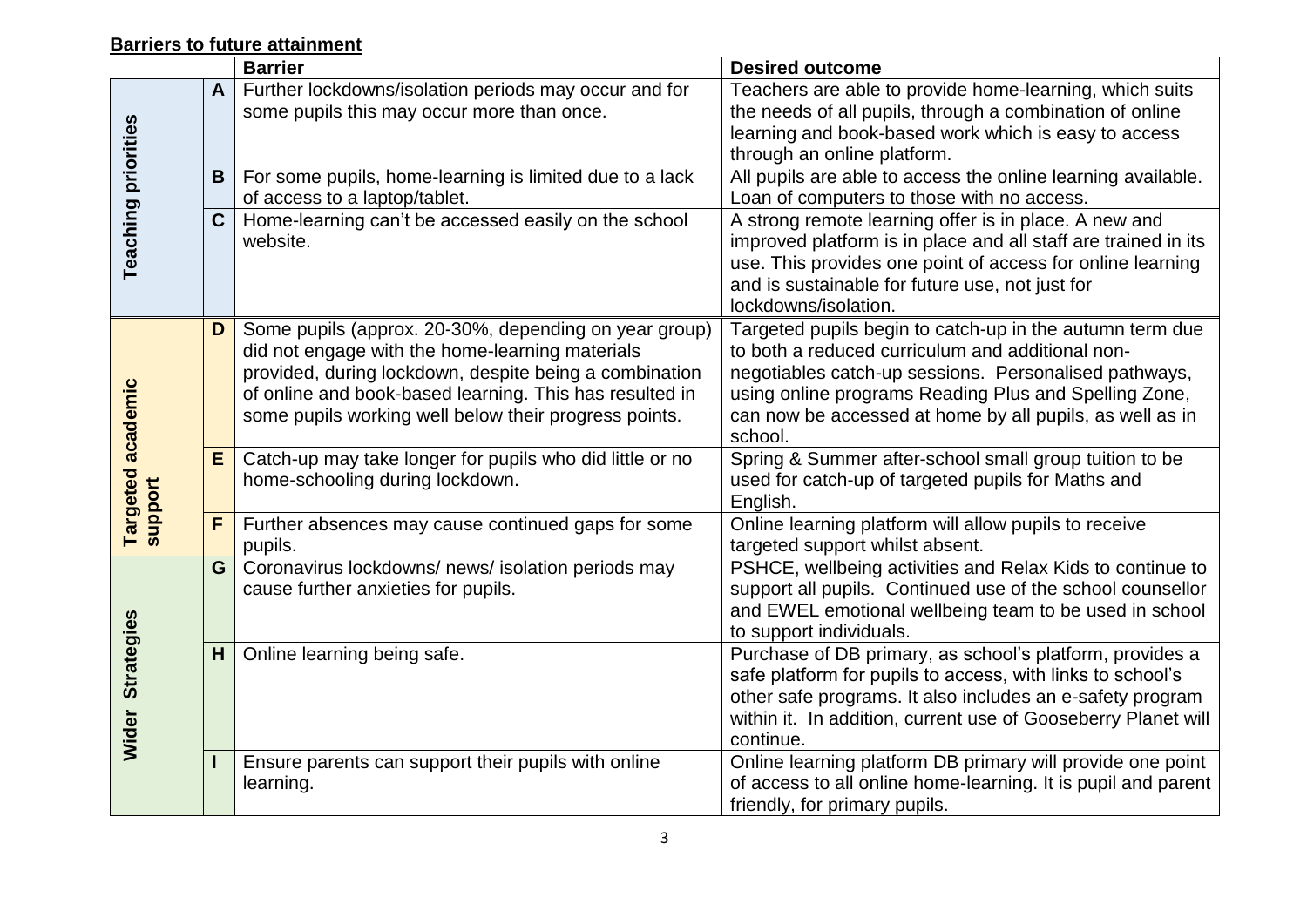#### **Barriers to future attainment**

|                                   |              | <b>Barrier</b>                                                                                                                                                                                                                                                                         | <b>Desired outcome</b>                                                                                                                                                                                                                                                                                |
|-----------------------------------|--------------|----------------------------------------------------------------------------------------------------------------------------------------------------------------------------------------------------------------------------------------------------------------------------------------|-------------------------------------------------------------------------------------------------------------------------------------------------------------------------------------------------------------------------------------------------------------------------------------------------------|
|                                   | $\mathbf{A}$ | Further lockdowns/isolation periods may occur and for<br>some pupils this may occur more than once.                                                                                                                                                                                    | Teachers are able to provide home-learning, which suits<br>the needs of all pupils, through a combination of online                                                                                                                                                                                   |
|                                   |              |                                                                                                                                                                                                                                                                                        | learning and book-based work which is easy to access                                                                                                                                                                                                                                                  |
|                                   |              |                                                                                                                                                                                                                                                                                        | through an online platform.                                                                                                                                                                                                                                                                           |
|                                   | B            | For some pupils, home-learning is limited due to a lack                                                                                                                                                                                                                                | All pupils are able to access the online learning available.                                                                                                                                                                                                                                          |
|                                   |              | of access to a laptop/tablet.                                                                                                                                                                                                                                                          | Loan of computers to those with no access.                                                                                                                                                                                                                                                            |
| <b>Teaching priorities</b>        | $\mathbf C$  | Home-learning can't be accessed easily on the school<br>website.                                                                                                                                                                                                                       | A strong remote learning offer is in place. A new and<br>improved platform is in place and all staff are trained in its<br>use. This provides one point of access for online learning<br>and is sustainable for future use, not just for<br>lockdowns/isolation.                                      |
| academic<br>Targeted a<br>support | D            | Some pupils (approx. 20-30%, depending on year group)<br>did not engage with the home-learning materials<br>provided, during lockdown, despite being a combination<br>of online and book-based learning. This has resulted in<br>some pupils working well below their progress points. | Targeted pupils begin to catch-up in the autumn term due<br>to both a reduced curriculum and additional non-<br>negotiables catch-up sessions. Personalised pathways,<br>using online programs Reading Plus and Spelling Zone,<br>can now be accessed at home by all pupils, as well as in<br>school. |
|                                   | E            | Catch-up may take longer for pupils who did little or no<br>home-schooling during lockdown.                                                                                                                                                                                            | Spring & Summer after-school small group tuition to be<br>used for catch-up of targeted pupils for Maths and<br>English.                                                                                                                                                                              |
|                                   | F            | Further absences may cause continued gaps for some<br>pupils.                                                                                                                                                                                                                          | Online learning platform will allow pupils to receive<br>targeted support whilst absent.                                                                                                                                                                                                              |
| <b>Strategies</b><br>Wider        | G            | Coronavirus lockdowns/ news/ isolation periods may<br>cause further anxieties for pupils.                                                                                                                                                                                              | PSHCE, wellbeing activities and Relax Kids to continue to<br>support all pupils. Continued use of the school counsellor<br>and EWEL emotional wellbeing team to be used in school<br>to support individuals.                                                                                          |
|                                   | H            | Online learning being safe.                                                                                                                                                                                                                                                            | Purchase of DB primary, as school's platform, provides a<br>safe platform for pupils to access, with links to school's<br>other safe programs. It also includes an e-safety program<br>within it. In addition, current use of Gooseberry Planet will<br>continue.                                     |
|                                   |              | Ensure parents can support their pupils with online<br>learning.                                                                                                                                                                                                                       | Online learning platform DB primary will provide one point<br>of access to all online home-learning. It is pupil and parent<br>friendly, for primary pupils.                                                                                                                                          |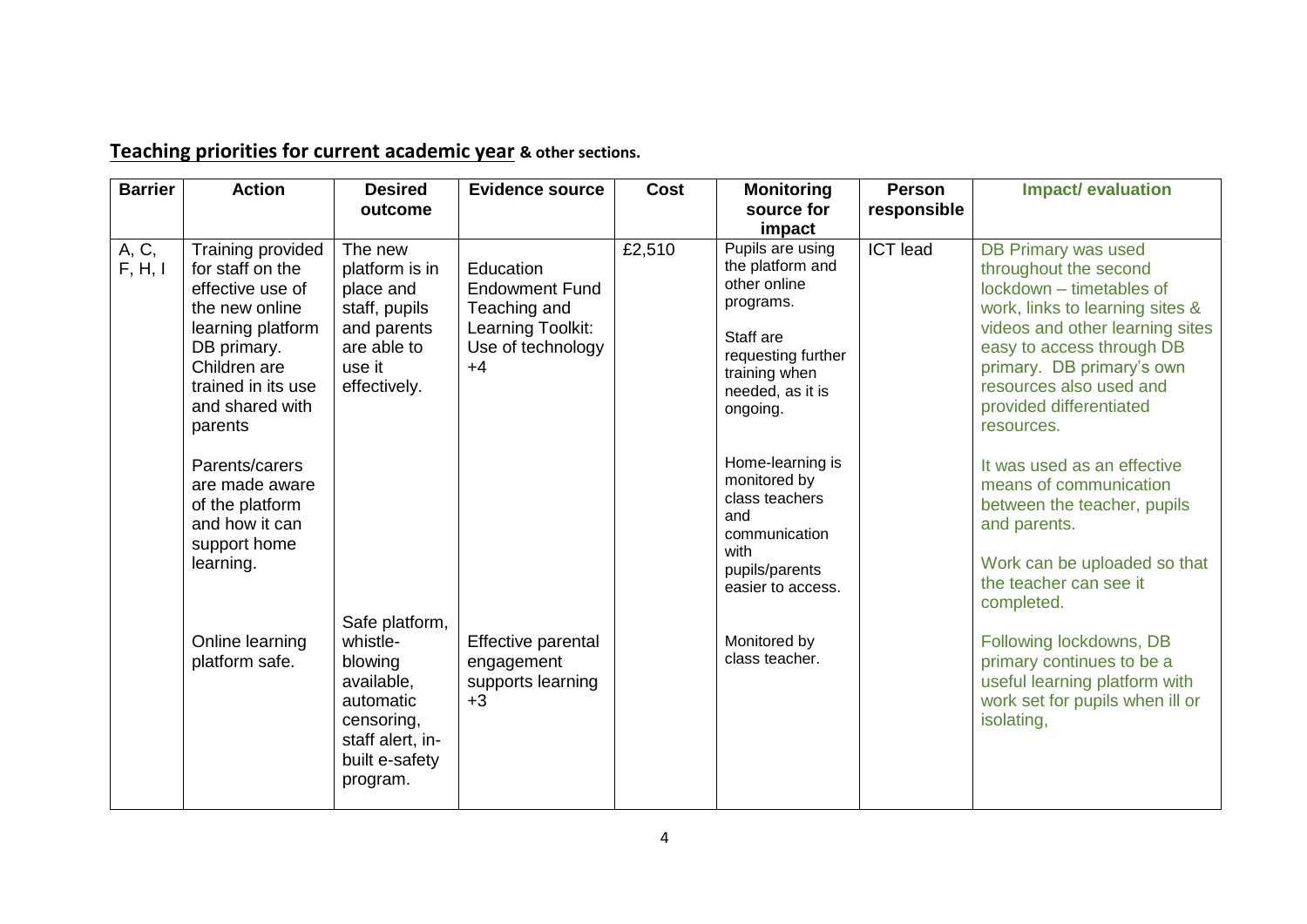| <b>Barrier</b>   | <b>Action</b>                                                                                                                                                                       | <b>Desired</b><br>outcome                                                                                                        | <b>Evidence source</b>                                                                               | Cost   | <b>Monitoring</b><br>source for<br>impact                                                                                                                                 | Person<br>responsible | <b>Impact/ evaluation</b>                                                                                                                                                                                                                                                    |
|------------------|-------------------------------------------------------------------------------------------------------------------------------------------------------------------------------------|----------------------------------------------------------------------------------------------------------------------------------|------------------------------------------------------------------------------------------------------|--------|---------------------------------------------------------------------------------------------------------------------------------------------------------------------------|-----------------------|------------------------------------------------------------------------------------------------------------------------------------------------------------------------------------------------------------------------------------------------------------------------------|
| A, C,<br>F, H, I | Training provided<br>for staff on the<br>effective use of<br>the new online<br>learning platform<br>DB primary.<br>Children are<br>trained in its use<br>and shared with<br>parents | The new<br>platform is in<br>place and<br>staff, pupils<br>and parents<br>are able to<br>use it<br>effectively.                  | Education<br><b>Endowment Fund</b><br>Teaching and<br>Learning Toolkit:<br>Use of technology<br>$+4$ | E2,510 | Pupils are using<br>the platform and<br>other online<br>programs.<br>Staff are<br>requesting further<br>training when<br>needed, as it is<br>ongoing.<br>Home-learning is | <b>ICT</b> lead       | DB Primary was used<br>throughout the second<br>lockdown - timetables of<br>work, links to learning sites &<br>videos and other learning sites<br>easy to access through DB<br>primary. DB primary's own<br>resources also used and<br>provided differentiated<br>resources. |
|                  | Parents/carers<br>are made aware<br>of the platform<br>and how it can<br>support home<br>learning.                                                                                  |                                                                                                                                  |                                                                                                      |        | monitored by<br>class teachers<br>and<br>communication<br>with<br>pupils/parents<br>easier to access.                                                                     |                       | It was used as an effective<br>means of communication<br>between the teacher, pupils<br>and parents.<br>Work can be uploaded so that<br>the teacher can see it<br>completed.                                                                                                 |
|                  | Online learning<br>platform safe.                                                                                                                                                   | Safe platform,<br>whistle-<br>blowing<br>available,<br>automatic<br>censoring,<br>staff alert, in-<br>built e-safety<br>program. | Effective parental<br>engagement<br>supports learning<br>$+3$                                        |        | Monitored by<br>class teacher.                                                                                                                                            |                       | Following lockdowns, DB<br>primary continues to be a<br>useful learning platform with<br>work set for pupils when ill or<br>isolating,                                                                                                                                       |

# **Teaching priorities for current academic year & other sections.**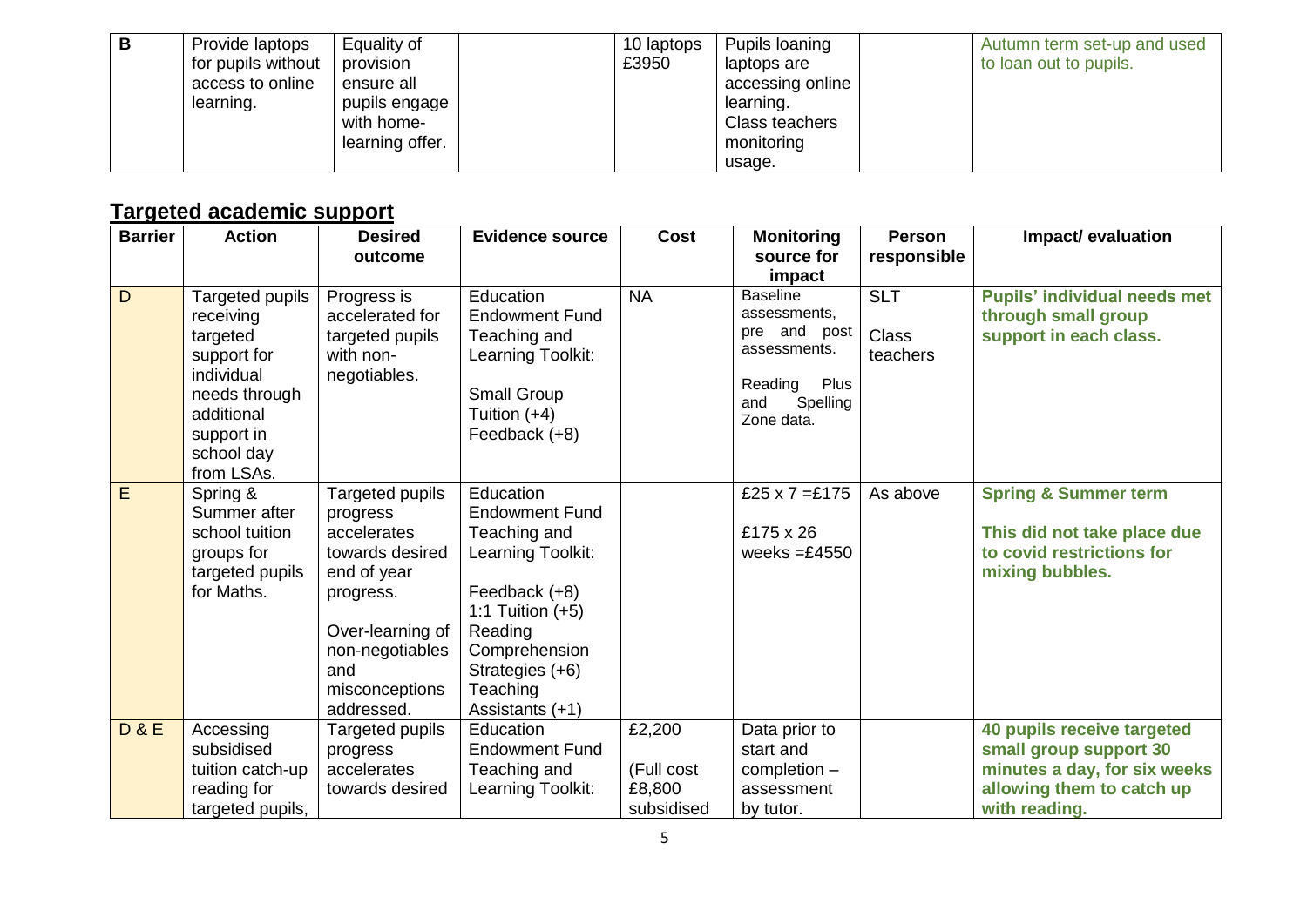| в | Provide laptops<br>for pupils without<br>access to online<br>learning. | Equality of<br>provision<br>ensure all<br>pupils engage '<br>with home-<br>learning offer. | 10 laptops<br>£3950 | Pupils loaning<br>laptops are<br>accessing online<br>learning.<br>Class teachers<br>monitoring | Autumn term set-up and used<br>to loan out to pupils. |
|---|------------------------------------------------------------------------|--------------------------------------------------------------------------------------------|---------------------|------------------------------------------------------------------------------------------------|-------------------------------------------------------|
|   |                                                                        |                                                                                            |                     | usage.                                                                                         |                                                       |

# **Targeted academic support**

| <b>Barrier</b> | <b>Action</b>                                                                                                                                  | <b>Desired</b><br>outcome                                                                                                                                               | <b>Evidence source</b>                                                                                                                                                                       | <b>Cost</b>                                  | <b>Monitoring</b><br>source for                                                                                     | <b>Person</b><br>responsible           | Impact/evaluation                                                                                                                  |
|----------------|------------------------------------------------------------------------------------------------------------------------------------------------|-------------------------------------------------------------------------------------------------------------------------------------------------------------------------|----------------------------------------------------------------------------------------------------------------------------------------------------------------------------------------------|----------------------------------------------|---------------------------------------------------------------------------------------------------------------------|----------------------------------------|------------------------------------------------------------------------------------------------------------------------------------|
|                |                                                                                                                                                |                                                                                                                                                                         |                                                                                                                                                                                              |                                              | impact                                                                                                              |                                        |                                                                                                                                    |
| $\mathsf{D}$   | Targeted pupils<br>receiving<br>targeted<br>support for<br>individual<br>needs through<br>additional<br>support in<br>school day<br>from LSAs. | Progress is<br>accelerated for<br>targeted pupils<br>with non-<br>negotiables.                                                                                          | Education<br><b>Endowment Fund</b><br>Teaching and<br>Learning Toolkit:<br>Small Group<br>Tuition $(+4)$<br>Feedback (+8)                                                                    | <b>NA</b>                                    | <b>Baseline</b><br>assessments,<br>pre and post<br>assessments.<br>Reading<br>Plus<br>Spelling<br>and<br>Zone data. | <b>SLT</b><br><b>Class</b><br>teachers | <b>Pupils' individual needs met</b><br>through small group<br>support in each class.                                               |
| E              | Spring &<br>Summer after<br>school tuition<br>groups for<br>targeted pupils<br>for Maths.                                                      | Targeted pupils<br>progress<br>accelerates<br>towards desired<br>end of year<br>progress.<br>Over-learning of<br>non-negotiables<br>and<br>misconceptions<br>addressed. | Education<br><b>Endowment Fund</b><br>Teaching and<br>Learning Toolkit:<br>Feedback (+8)<br>1:1 Tuition $(+5)$<br>Reading<br>Comprehension<br>Strategies (+6)<br>Teaching<br>Assistants (+1) |                                              | £25 x 7 =£175<br>£175 x 26<br>weeks $=£4550$                                                                        | As above                               | <b>Spring &amp; Summer term</b><br>This did not take place due<br>to covid restrictions for<br>mixing bubbles.                     |
| <b>D&amp;E</b> | Accessing<br>subsidised<br>tuition catch-up<br>reading for<br>targeted pupils,                                                                 | Targeted pupils<br>progress<br>accelerates<br>towards desired                                                                                                           | Education<br><b>Endowment Fund</b><br>Teaching and<br>Learning Toolkit:                                                                                                                      | £2,200<br>(Full cost<br>£8,800<br>subsidised | Data prior to<br>start and<br>completion -<br>assessment<br>by tutor.                                               |                                        | 40 pupils receive targeted<br>small group support 30<br>minutes a day, for six weeks<br>allowing them to catch up<br>with reading. |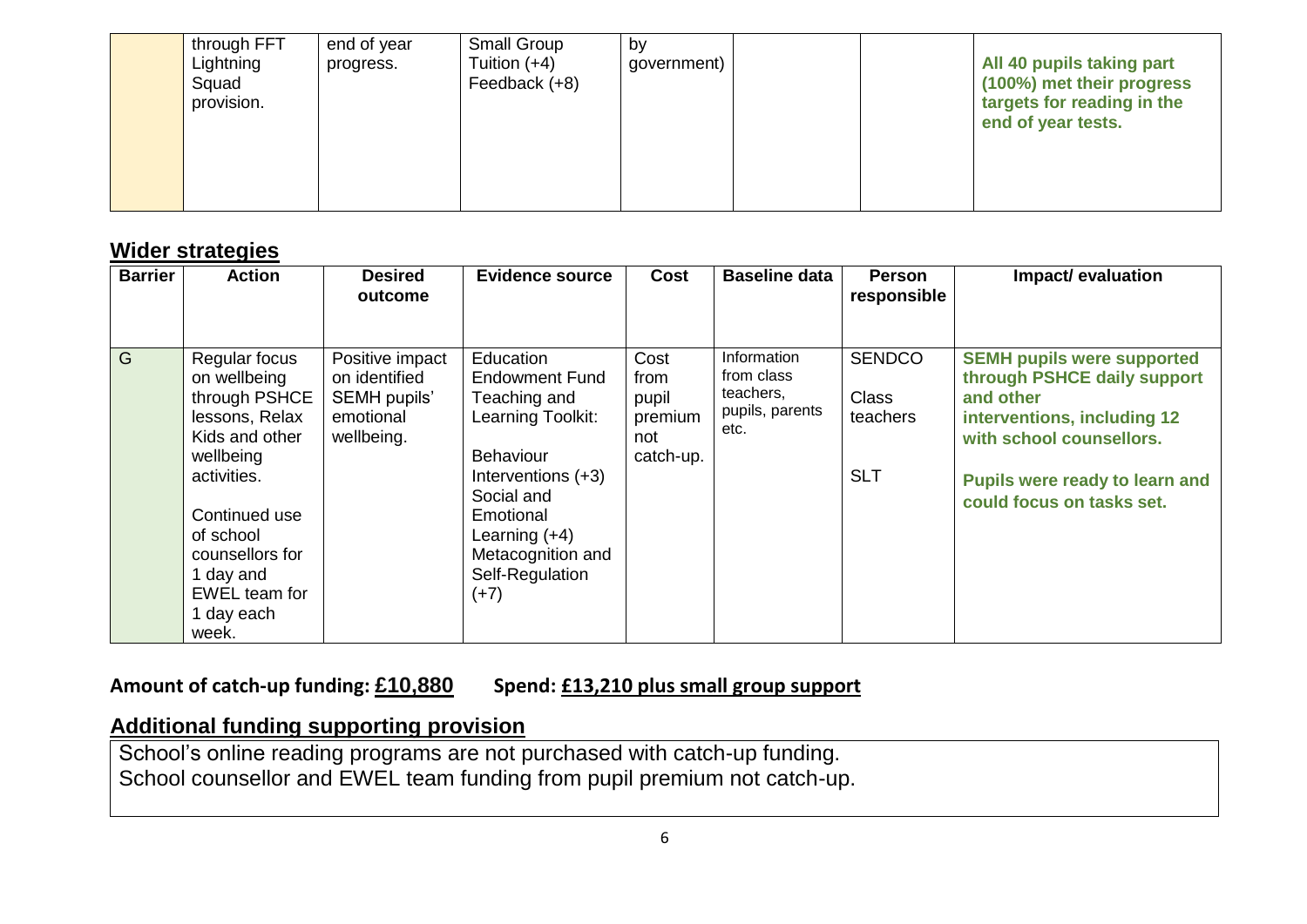|  | through FFT<br>Lightning<br>Squad<br>provision. | end of year<br>progress. | <b>Small Group</b><br>Tuition $(+4)$<br>Feedback (+8) | by<br>government) |  |  | All 40 pupils taking part<br>(100%) met their progress<br>targets for reading in the<br>end of year tests. |
|--|-------------------------------------------------|--------------------------|-------------------------------------------------------|-------------------|--|--|------------------------------------------------------------------------------------------------------------|
|--|-------------------------------------------------|--------------------------|-------------------------------------------------------|-------------------|--|--|------------------------------------------------------------------------------------------------------------|

### **Wider strategies**

| <b>Barrier</b> | <b>Action</b>                                                                                                     | <b>Desired</b><br>outcome                                                   | <b>Evidence source</b>                                                                                           | Cost                                                 | <b>Baseline data</b>                                              | <b>Person</b><br>responsible              | Impact/evaluation                                                                                                                        |
|----------------|-------------------------------------------------------------------------------------------------------------------|-----------------------------------------------------------------------------|------------------------------------------------------------------------------------------------------------------|------------------------------------------------------|-------------------------------------------------------------------|-------------------------------------------|------------------------------------------------------------------------------------------------------------------------------------------|
|                |                                                                                                                   |                                                                             |                                                                                                                  |                                                      |                                                                   |                                           |                                                                                                                                          |
| G              | Regular focus<br>on wellbeing<br>through PSHCE<br>lessons, Relax<br>Kids and other<br>wellbeing                   | Positive impact<br>on identified<br>SEMH pupils'<br>emotional<br>wellbeing. | <b>Education</b><br><b>Endowment Fund</b><br>Teaching and<br>Learning Toolkit:<br><b>Behaviour</b>               | Cost<br>from<br>pupil<br>premium<br>not<br>catch-up. | Information<br>from class<br>teachers,<br>pupils, parents<br>etc. | <b>SENDCO</b><br><b>Class</b><br>teachers | <b>SEMH pupils were supported</b><br>through PSHCE daily support<br>and other<br>interventions, including 12<br>with school counsellors. |
|                | activities.<br>Continued use<br>of school<br>counsellors for<br>1 day and<br>EWEL team for<br>1 day each<br>week. |                                                                             | Interventions (+3)<br>Social and<br>Emotional<br>Learning (+4)<br>Metacognition and<br>Self-Regulation<br>$(+7)$ |                                                      |                                                                   | <b>SLT</b>                                | Pupils were ready to learn and<br>could focus on tasks set.                                                                              |

## **Amount of catch-up funding: £10,880 Spend: £13,210 plus small group support**

# **Additional funding supporting provision**

School's online reading programs are not purchased with catch-up funding. School counsellor and EWEL team funding from pupil premium not catch-up.